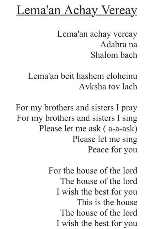## **Lema'an Achay Vereay**

Lema'an achay vereay Adabra na Shalom bach

Lema'an beit hashem eloheinu Avksha tov lach

For my brothers and sisters I pray For my brothers and sisters I sing Please let me ask (a-a-ask) Please let me sing Peace for you

> For the house of the lord The house of the lord I wish the best for you This is the house The house of the lord I wish the best for you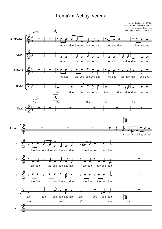## Lema'an Achay Vereay

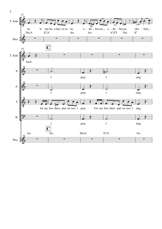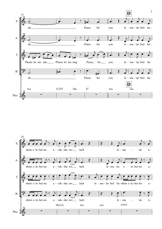

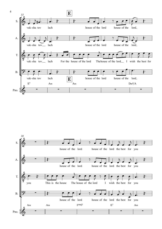

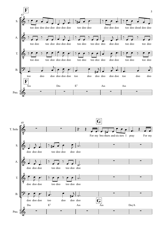

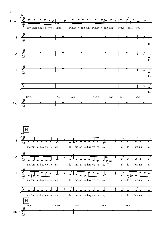

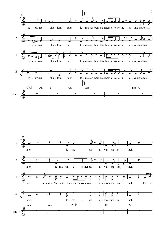

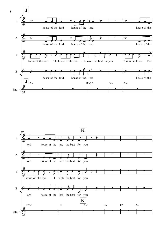